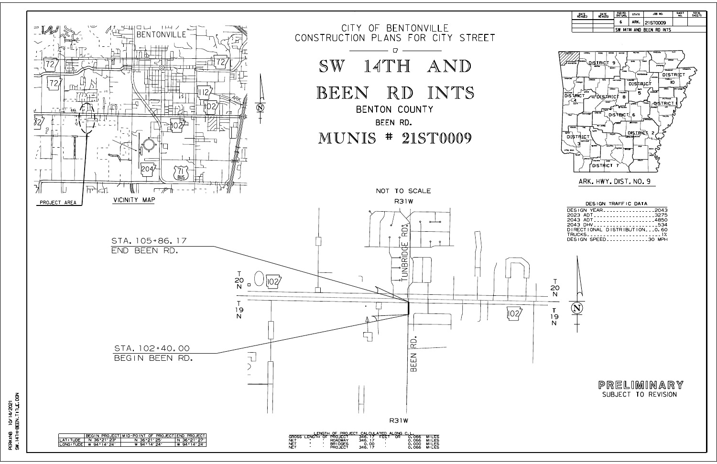PERKING 10/14/2021<br>SW\_14TH-BEEN\_TITLE, DGN SW\_14TH-BEEN\_TITLE.DGN 12/2021 PERKINB



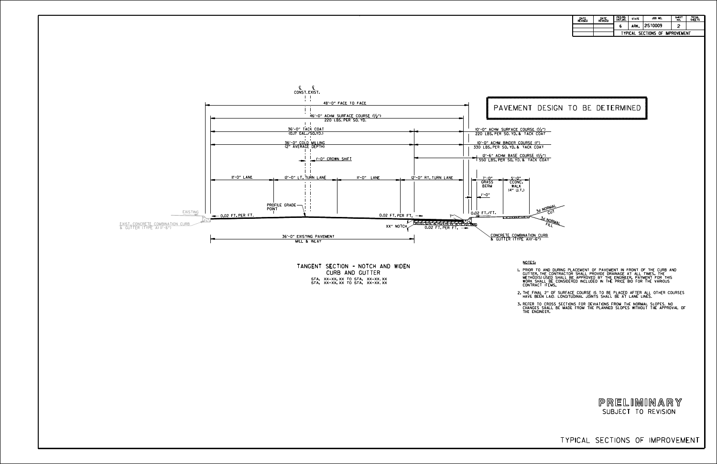TYPICAL SECTIONS OF IMPROVEMENT

CURB AND GUTTER TANGENT SECTION - NOTCH AND WIDEN STA. XX+XX.XX TO STA. XX<mark>+XX.XX</mark><br>STA. XX+XX.XX TO STA. XX+XX.XX

NOTES:

1.

3.

PRIOR TO AND DURING PLACEMENT OF PAVEMENT IN FRONT OF THE CURB AND<br>GUTTER, THE CONTRACTOR SHALL PROVIDE DRAINAGE AT ALL TIMES. THE<br>METHODIS)USED SHALL BE APPROVED BY THE ENGINEER. PAYMENT FOR THIS<br>WORK SHALL BE CONSIDERED

2. THE FINAL 2" OF SURFACE COURSE IS TO BE PLACED AFTER ALL OTHER COURSES<br>THAVE BEEN LAID. LONGITUDINAL JOINTS SHALL BE AT LANE LINES.

REFER TO CROSS SECTIONS FOR DEVIATIONS FROM THE NORMAL SLOPES. NO<br>CHANGES SHALL BE MADE FROM THE PLANNED SLOPES WITHOUT THE APPROVAL OF<br>THE ENGINEER.

| DATE<br><b>REVISED</b> | DATE<br><b>REVISED</b> | FED.RD.<br>DIST.NO.                          | <b>STATE</b> | JOB NO.  | <b>SHEET</b><br>NO. | TOTAL<br><b>SHEETS</b> |  |  |  |  |  |
|------------------------|------------------------|----------------------------------------------|--------------|----------|---------------------|------------------------|--|--|--|--|--|
|                        |                        | ь                                            | ARK.         | 2IST0009 | ີ                   |                        |  |  |  |  |  |
|                        |                        | SECTIONS OF<br><b>IMPROVEMENT</b><br>TYPICAL |              |          |                     |                        |  |  |  |  |  |



## PAVEMENT DESIGN TO BE DETERMINED

**NORMAL** <sup>C</sup>U<sup>T</sup> 3:<sup>1</sup> NORMAL<br>FILL

SUBJECT TO REVISION PRELIMINARY